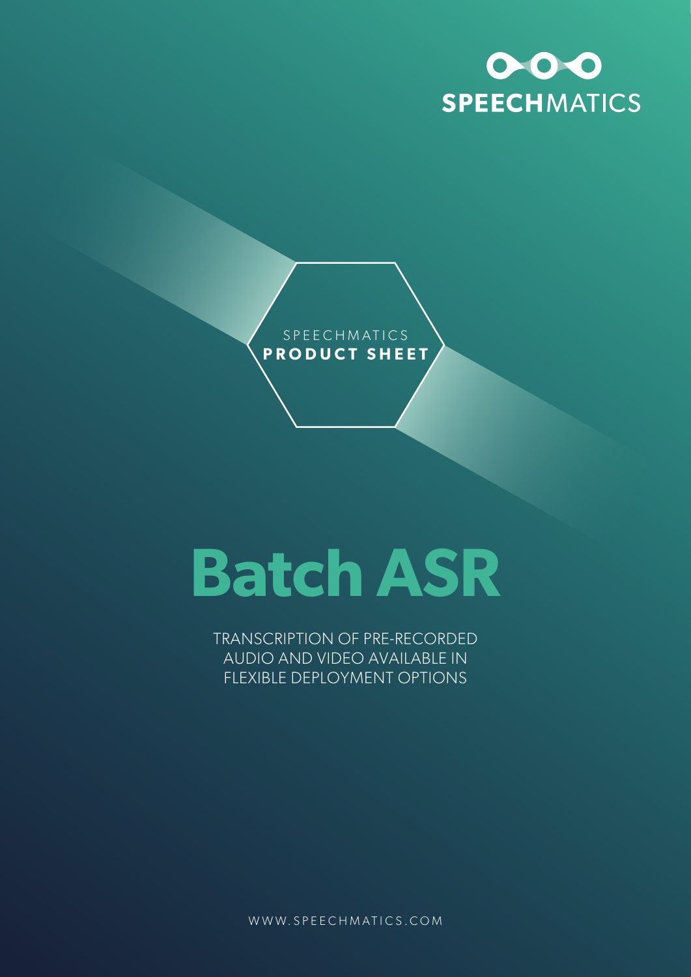



# **Batch ASR**

TRANSCRIPTION OF PRE-RECORDED AUDIO AND VIDEO AVAILABLE IN FLEXIBLE DEPLOYMENT OPTIONS

WWW.SPEECHMATICS.COM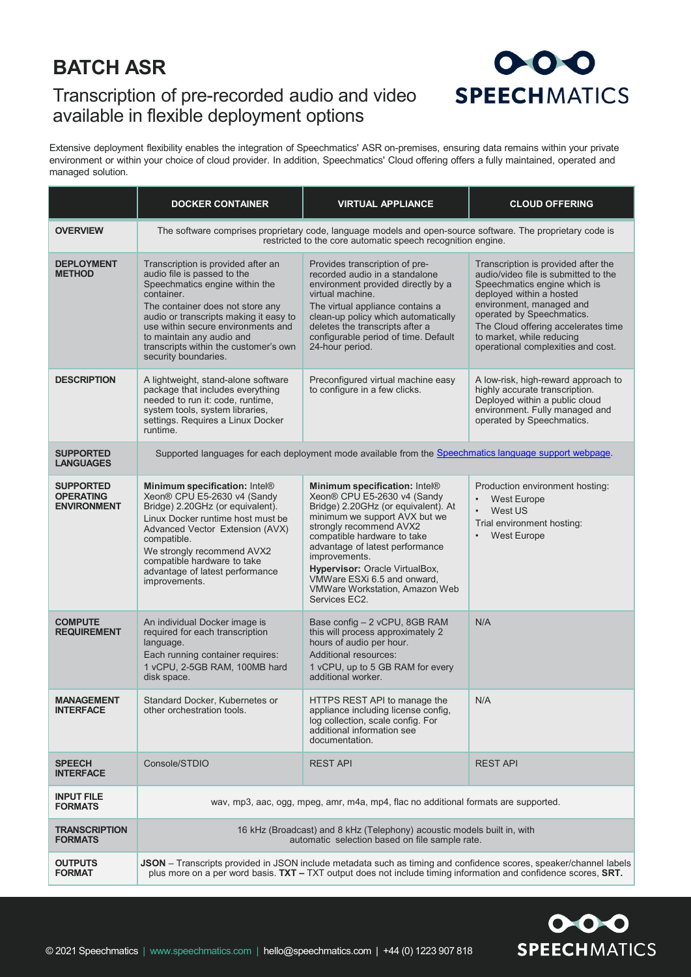## **BATCH ASR**

#### Transcription of pre-recorded audio and video available in flexible deployment options

## $000$ **SPEECHMATICS**

Extensive deployment flexibility enables the integration of Speechmatics' ASR on-premises, ensuring data remains within your private environment or within your choice of cloud provider. In addition, Speechmatics' Cloud offering offers a fully maintained, operated and managed solution.

|                                                            | <b>DOCKER CONTAINER</b>                                                                                                                                                                                                                                                                                                             | <b>VIRTUAL APPLIANCE</b>                                                                                                                                                                                                                                                                                                                                               | <b>CLOUD OFFERING</b>                                                                                                                                                                                                                                                                                      |  |
|------------------------------------------------------------|-------------------------------------------------------------------------------------------------------------------------------------------------------------------------------------------------------------------------------------------------------------------------------------------------------------------------------------|------------------------------------------------------------------------------------------------------------------------------------------------------------------------------------------------------------------------------------------------------------------------------------------------------------------------------------------------------------------------|------------------------------------------------------------------------------------------------------------------------------------------------------------------------------------------------------------------------------------------------------------------------------------------------------------|--|
| <b>OVERVIEW</b>                                            | The software comprises proprietary code, language models and open-source software. The proprietary code is<br>restricted to the core automatic speech recognition engine.                                                                                                                                                           |                                                                                                                                                                                                                                                                                                                                                                        |                                                                                                                                                                                                                                                                                                            |  |
| <b>DEPLOYMENT</b><br><b>METHOD</b>                         | Transcription is provided after an<br>audio file is passed to the<br>Speechmatics engine within the<br>container.<br>The container does not store any<br>audio or transcripts making it easy to<br>use within secure environments and<br>to maintain any audio and<br>transcripts within the customer's own<br>security boundaries. | Provides transcription of pre-<br>recorded audio in a standalone<br>environment provided directly by a<br>virtual machine.<br>The virtual appliance contains a<br>clean-up policy which automatically<br>deletes the transcripts after a<br>configurable period of time. Default<br>24-hour period.                                                                    | Transcription is provided after the<br>audio/video file is submitted to the<br>Speechmatics engine which is<br>deployed within a hosted<br>environment, managed and<br>operated by Speechmatics.<br>The Cloud offering accelerates time<br>to market, while reducing<br>operational complexities and cost. |  |
| <b>DESCRIPTION</b>                                         | A lightweight, stand-alone software<br>package that includes everything<br>needed to run it: code, runtime,<br>system tools, system libraries,<br>settings. Requires a Linux Docker<br>runtime                                                                                                                                      | Preconfigured virtual machine easy<br>to configure in a few clicks.                                                                                                                                                                                                                                                                                                    | A low-risk, high-reward approach to<br>highly accurate transcription.<br>Deployed within a public cloud<br>environment. Fully managed and<br>operated by Speechmatics.                                                                                                                                     |  |
| <b>SUPPORTED</b><br><b>LANGUAGES</b>                       | Supported languages for each deployment mode available from the Speechmatics language support webpage.                                                                                                                                                                                                                              |                                                                                                                                                                                                                                                                                                                                                                        |                                                                                                                                                                                                                                                                                                            |  |
| <b>SUPPORTED</b><br><b>OPERATING</b><br><b>ENVIRONMENT</b> | Minimum specification: Intel®<br>Xeon® CPU E5-2630 v4 (Sandy<br>Bridge) 2.20GHz (or equivalent).<br>Linux Docker runtime host must be<br>Advanced Vector Extension (AVX)<br>compatible.<br>We strongly recommend AVX2<br>compatible hardware to take<br>advantage of latest performance<br>improvements.                            | Minimum specification: Intel®<br>Xeon® CPU E5-2630 v4 (Sandy<br>Bridge) 2.20GHz (or equivalent). At<br>minimum we support AVX but we<br>strongly recommend AVX2<br>compatible hardware to take<br>advantage of latest performance<br>improvements.<br>Hypervisor: Oracle VirtualBox,<br>VMWare ESXi 6.5 and onward,<br>VMWare Workstation, Amazon Web<br>Services EC2. | Production environment hosting:<br><b>West Europe</b><br>West US<br>$\bullet$<br>Trial environment hosting:<br><b>West Europe</b><br>$\bullet$                                                                                                                                                             |  |
| <b>COMPUTE</b><br><b>REQUIREMENT</b>                       | An individual Docker image is<br>required for each transcription<br>language.<br>Each running container requires:<br>1 vCPU, 2-5GB RAM, 100MB hard<br>disk space.                                                                                                                                                                   | Base config – 2 vCPU, 8GB RAM<br>this will process approximately 2<br>hours of audio per hour.<br>Additional resources:<br>1 vCPU, up to 5 GB RAM for every<br>additional worker.                                                                                                                                                                                      | N/A                                                                                                                                                                                                                                                                                                        |  |
| <b>MANAGEMENT</b><br><b>INTERFACE</b>                      | Standard Docker, Kubernetes or<br>other orchestration tools.                                                                                                                                                                                                                                                                        | HTTPS REST API to manage the<br>appliance including license config,<br>log collection, scale config. For<br>additional information see<br>documentation.                                                                                                                                                                                                               | N/A                                                                                                                                                                                                                                                                                                        |  |
| <b>SPEECH</b><br><b>INTERFACE</b>                          | Console/STDIO                                                                                                                                                                                                                                                                                                                       | <b>REST API</b>                                                                                                                                                                                                                                                                                                                                                        | <b>REST API</b>                                                                                                                                                                                                                                                                                            |  |
| <b>INPUT FILE</b><br><b>FORMATS</b>                        | way, mp3, aac, ogg, mpeg, amr, m4a, mp4, flac no additional formats are supported.                                                                                                                                                                                                                                                  |                                                                                                                                                                                                                                                                                                                                                                        |                                                                                                                                                                                                                                                                                                            |  |
| <b>TRANSCRIPTION</b><br><b>FORMATS</b>                     | 16 kHz (Broadcast) and 8 kHz (Telephony) acoustic models built in, with<br>automatic selection based on file sample rate.                                                                                                                                                                                                           |                                                                                                                                                                                                                                                                                                                                                                        |                                                                                                                                                                                                                                                                                                            |  |
| <b>OUTPUTS</b><br><b>FORMAT</b>                            | JSON - Transcripts provided in JSON include metadata such as timing and confidence scores, speaker/channel labels<br>plus more on a per word basis. TXT - TXT output does not include timing information and confidence scores, SRT.                                                                                                |                                                                                                                                                                                                                                                                                                                                                                        |                                                                                                                                                                                                                                                                                                            |  |

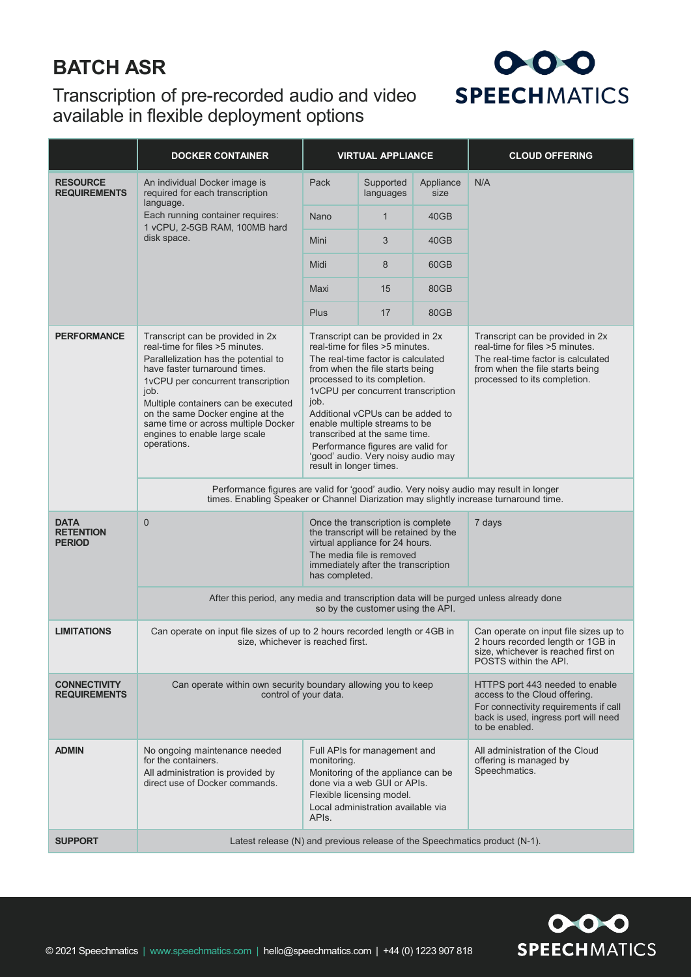### **BATCH ASR**

#### Transcription of pre-recorded audio and video available in flexible deployment options



|                                                  | <b>DOCKER CONTAINER</b>                                                                                                                                                                                                                                                                                                                                                                         | <b>VIRTUAL APPLIANCE</b>                                                                                                                                                                              |                                                                                                                                                                                                                                                                                                                                                                                                     |                                                                                                                                                                     | <b>CLOUD OFFERING</b>                                                                                                                                                        |  |  |
|--------------------------------------------------|-------------------------------------------------------------------------------------------------------------------------------------------------------------------------------------------------------------------------------------------------------------------------------------------------------------------------------------------------------------------------------------------------|-------------------------------------------------------------------------------------------------------------------------------------------------------------------------------------------------------|-----------------------------------------------------------------------------------------------------------------------------------------------------------------------------------------------------------------------------------------------------------------------------------------------------------------------------------------------------------------------------------------------------|---------------------------------------------------------------------------------------------------------------------------------------------------------------------|------------------------------------------------------------------------------------------------------------------------------------------------------------------------------|--|--|
| <b>RESOURCE</b><br><b>REQUIREMENTS</b>           | An individual Docker image is<br>required for each transcription<br>language.<br>Each running container requires:<br>1 vCPU, 2-5GB RAM, 100MB hard<br>disk space.                                                                                                                                                                                                                               | Pack                                                                                                                                                                                                  | Supported<br>languages                                                                                                                                                                                                                                                                                                                                                                              | Appliance<br>size                                                                                                                                                   | N/A                                                                                                                                                                          |  |  |
|                                                  |                                                                                                                                                                                                                                                                                                                                                                                                 | Nano                                                                                                                                                                                                  | $\mathbf{1}$                                                                                                                                                                                                                                                                                                                                                                                        | 40GB                                                                                                                                                                |                                                                                                                                                                              |  |  |
|                                                  |                                                                                                                                                                                                                                                                                                                                                                                                 | Mini                                                                                                                                                                                                  | 3                                                                                                                                                                                                                                                                                                                                                                                                   | 40GB                                                                                                                                                                |                                                                                                                                                                              |  |  |
|                                                  |                                                                                                                                                                                                                                                                                                                                                                                                 | Midi                                                                                                                                                                                                  | 8                                                                                                                                                                                                                                                                                                                                                                                                   | 60GB                                                                                                                                                                |                                                                                                                                                                              |  |  |
|                                                  |                                                                                                                                                                                                                                                                                                                                                                                                 | Maxi                                                                                                                                                                                                  | 15                                                                                                                                                                                                                                                                                                                                                                                                  | 80GB                                                                                                                                                                |                                                                                                                                                                              |  |  |
|                                                  |                                                                                                                                                                                                                                                                                                                                                                                                 | Plus                                                                                                                                                                                                  | 17                                                                                                                                                                                                                                                                                                                                                                                                  | 80GB                                                                                                                                                                |                                                                                                                                                                              |  |  |
| <b>PERFORMANCE</b>                               | Transcript can be provided in 2x<br>real-time for files >5 minutes.<br>Parallelization has the potential to<br>have faster turnaround times.<br>1vCPU per concurrent transcription<br>job.<br>job.<br>Multiple containers can be executed<br>on the same Docker engine at the<br>same time or across multiple Docker<br>engines to enable large scale<br>operations.<br>result in longer times. |                                                                                                                                                                                                       | Transcript can be provided in 2x<br>real-time for files >5 minutes.<br>The real-time factor is calculated<br>from when the file starts being<br>processed to its completion.<br>1vCPU per concurrent transcription<br>Additional vCPUs can be added to<br>enable multiple streams to be<br>transcribed at the same time.<br>Performance figures are valid for<br>'good' audio. Very noisy audio may |                                                                                                                                                                     | Transcript can be provided in 2x<br>real-time for files >5 minutes.<br>The real-time factor is calculated<br>from when the file starts being<br>processed to its completion. |  |  |
|                                                  | Performance figures are valid for 'good' audio. Very noisy audio may result in longer<br>times. Enabling Speaker or Channel Diarization may slightly increase turnaround time.                                                                                                                                                                                                                  |                                                                                                                                                                                                       |                                                                                                                                                                                                                                                                                                                                                                                                     |                                                                                                                                                                     |                                                                                                                                                                              |  |  |
| <b>DATA</b><br><b>RETENTION</b><br><b>PERIOD</b> | $\overline{0}$                                                                                                                                                                                                                                                                                                                                                                                  | Once the transcription is complete<br>the transcript will be retained by the<br>virtual appliance for 24 hours.<br>The media file is removed<br>immediately after the transcription<br>has completed. |                                                                                                                                                                                                                                                                                                                                                                                                     |                                                                                                                                                                     | 7 days                                                                                                                                                                       |  |  |
|                                                  | After this period, any media and transcription data will be purged unless already done<br>so by the customer using the API.                                                                                                                                                                                                                                                                     |                                                                                                                                                                                                       |                                                                                                                                                                                                                                                                                                                                                                                                     |                                                                                                                                                                     |                                                                                                                                                                              |  |  |
| <b>LIMITATIONS</b>                               | Can operate on input file sizes of up to 2 hours recorded length or 4GB in<br>size, whichever is reached first.<br>POSTS within the API.                                                                                                                                                                                                                                                        |                                                                                                                                                                                                       |                                                                                                                                                                                                                                                                                                                                                                                                     | Can operate on input file sizes up to<br>2 hours recorded length or 1GB in<br>size, whichever is reached first on                                                   |                                                                                                                                                                              |  |  |
| <b>CONNECTIVITY</b><br><b>REQUIREMENTS</b>       | Can operate within own security boundary allowing you to keep<br>control of your data.                                                                                                                                                                                                                                                                                                          |                                                                                                                                                                                                       |                                                                                                                                                                                                                                                                                                                                                                                                     | HTTPS port 443 needed to enable<br>access to the Cloud offering.<br>For connectivity requirements if call<br>back is used, ingress port will need<br>to be enabled. |                                                                                                                                                                              |  |  |
| <b>ADMIN</b>                                     | No ongoing maintenance needed<br>for the containers.<br>All administration is provided by<br>direct use of Docker commands.                                                                                                                                                                                                                                                                     | monitoring.<br>API <sub>s</sub> .                                                                                                                                                                     | Full APIs for management and<br>Monitoring of the appliance can be<br>done via a web GUI or APIs.<br>Flexible licensing model.<br>Local administration available via                                                                                                                                                                                                                                |                                                                                                                                                                     | All administration of the Cloud<br>offering is managed by<br>Speechmatics.                                                                                                   |  |  |
| <b>SUPPORT</b>                                   | Latest release (N) and previous release of the Speechmatics product (N-1).                                                                                                                                                                                                                                                                                                                      |                                                                                                                                                                                                       |                                                                                                                                                                                                                                                                                                                                                                                                     |                                                                                                                                                                     |                                                                                                                                                                              |  |  |

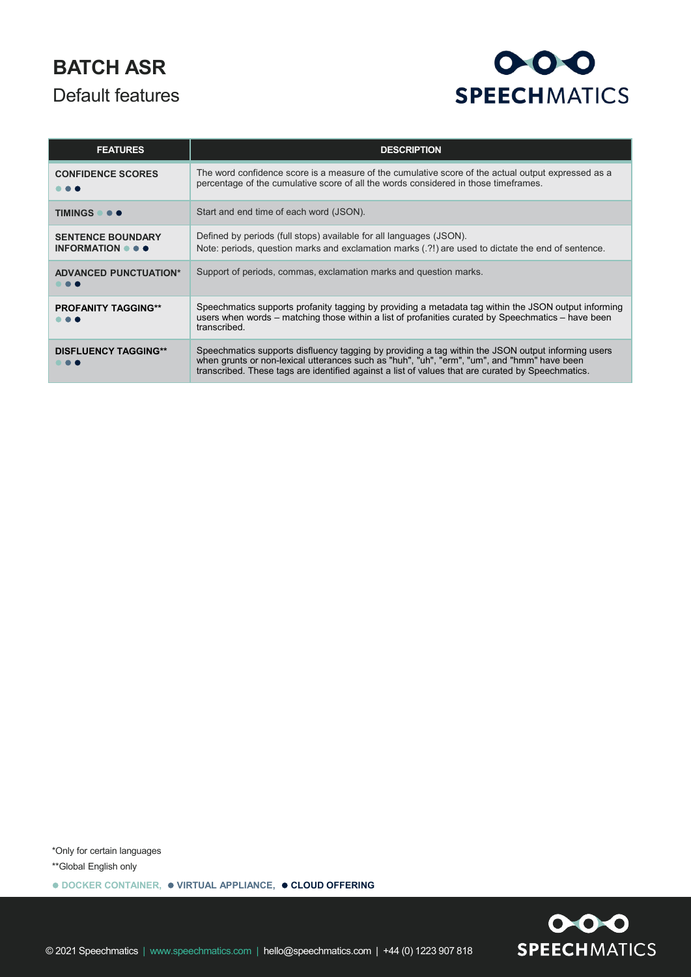## **BATCH ASR** Default features

# $000$ **SPEECHMATICS**

| <b>FEATURES</b>                                                                          | <b>DESCRIPTION</b>                                                                                                                                                                                                                                                                                     |
|------------------------------------------------------------------------------------------|--------------------------------------------------------------------------------------------------------------------------------------------------------------------------------------------------------------------------------------------------------------------------------------------------------|
| <b>CONFIDENCE SCORES</b>                                                                 | The word confidence score is a measure of the cumulative score of the actual output expressed as a<br>percentage of the cumulative score of all the words considered in those timeframes.                                                                                                              |
| TIMINGS                                                                                  | Start and end time of each word (JSON).                                                                                                                                                                                                                                                                |
| <b>SENTENCE BOUNDARY</b><br><b>INFORMATION <math>\bullet</math> <math>\bullet</math></b> | Defined by periods (full stops) available for all languages (JSON).<br>Note: periods, question marks and exclamation marks (.?!) are used to dictate the end of sentence.                                                                                                                              |
| <b>ADVANCED PUNCTUATION*</b>                                                             | Support of periods, commas, exclamation marks and question marks.                                                                                                                                                                                                                                      |
| <b>PROFANITY TAGGING**</b>                                                               | Speechmatics supports profanity tagging by providing a metadata tag within the JSON output informing<br>users when words – matching those within a list of profanities curated by Speechmatics – have been<br>transcribed.                                                                             |
| <b>DISFLUENCY TAGGING**</b>                                                              | Speechmatics supports disfluency tagging by providing a tag within the JSON output informing users<br>when grunts or non-lexical utterances such as "huh", "uh", "erm", "um", and "hmm" have been<br>transcribed. These tags are identified against a list of values that are curated by Speechmatics. |

\*Only for certain languages \*\*Global English only

**DOCKER CONTAINER, VIRTUAL APPLIANCE, CLOUD OFFERING**

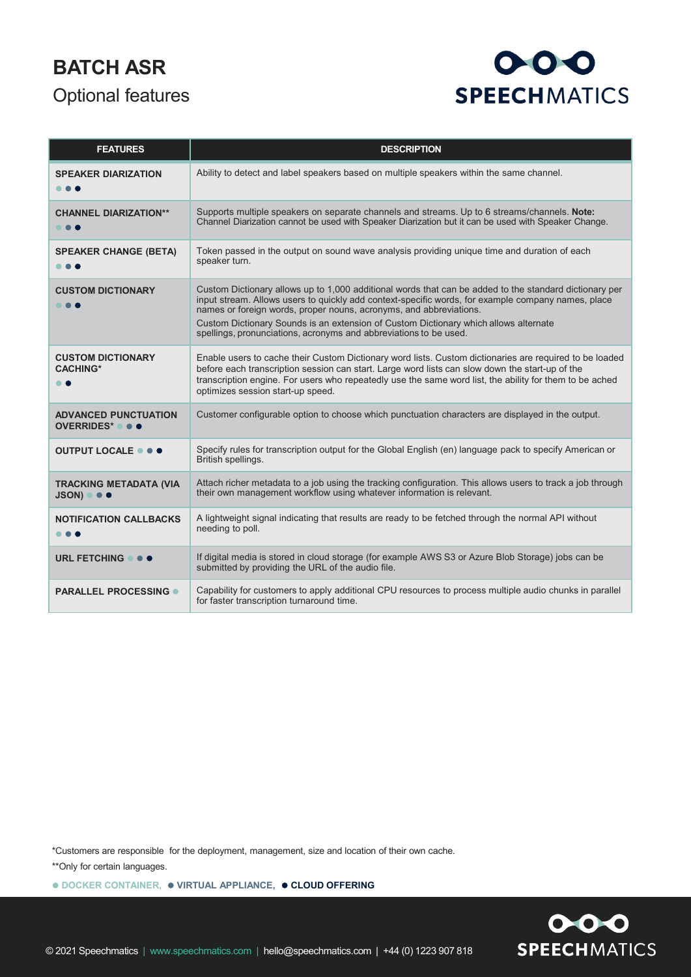## **BATCH ASR** Optional features



| <b>FEATURES</b>                                              | <b>DESCRIPTION</b>                                                                                                                                                                                                                                                                                                                                         |
|--------------------------------------------------------------|------------------------------------------------------------------------------------------------------------------------------------------------------------------------------------------------------------------------------------------------------------------------------------------------------------------------------------------------------------|
| <b>SPEAKER DIARIZATION</b>                                   | Ability to detect and label speakers based on multiple speakers within the same channel.                                                                                                                                                                                                                                                                   |
| <b>CHANNEL DIARIZATION**</b><br>.                            | Supports multiple speakers on separate channels and streams. Up to 6 streams/channels. Note:<br>Channel Diarization cannot be used with Speaker Diarization but it can be used with Speaker Change.                                                                                                                                                        |
| <b>SPEAKER CHANGE (BETA)</b>                                 | Token passed in the output on sound wave analysis providing unique time and duration of each<br>speaker turn.                                                                                                                                                                                                                                              |
| <b>CUSTOM DICTIONARY</b><br>.                                | Custom Dictionary allows up to 1,000 additional words that can be added to the standard dictionary per<br>input stream. Allows users to quickly add context-specific words, for example company names, place<br>names or foreign words, proper nouns, acronyms, and abbreviations.                                                                         |
|                                                              | Custom Dictionary Sounds is an extension of Custom Dictionary which allows alternate<br>spellings, pronunciations, acronyms and abbreviations to be used.                                                                                                                                                                                                  |
| <b>CUSTOM DICTIONARY</b><br><b>CACHING*</b><br>. .           | Enable users to cache their Custom Dictionary word lists. Custom dictionaries are required to be loaded<br>before each transcription session can start. Large word lists can slow down the start-up of the<br>transcription engine. For users who repeatedly use the same word list, the ability for them to be ached<br>optimizes session start-up speed. |
| <b>ADVANCED PUNCTUATION</b><br>OVERRIDES* ● ● ●              | Customer configurable option to choose which punctuation characters are displayed in the output.                                                                                                                                                                                                                                                           |
| OUTPUT LOCALE $\bullet \bullet \bullet$                      | Specify rules for transcription output for the Global English (en) language pack to specify American or<br>British spellings.                                                                                                                                                                                                                              |
| <b>TRACKING METADATA (VIA</b><br>$JSON)$ $\bullet$ $\bullet$ | Attach richer metadata to a job using the tracking configuration. This allows users to track a job through<br>their own management workflow using whatever information is relevant.                                                                                                                                                                        |
| <b>NOTIFICATION CALLBACKS</b><br>.                           | A lightweight signal indicating that results are ready to be fetched through the normal API without<br>needing to poll.                                                                                                                                                                                                                                    |
| URL FETCHING $\bullet \bullet \bullet$                       | If digital media is stored in cloud storage (for example AWS S3 or Azure Blob Storage) jobs can be<br>submitted by providing the URL of the audio file.                                                                                                                                                                                                    |
| <b>PARALLEL PROCESSING ·</b>                                 | Capability for customers to apply additional CPU resources to process multiple audio chunks in parallel<br>for faster transcription turnaround time.                                                                                                                                                                                                       |

\*Customers are responsible for the deployment, management, size and location of their own cache.

\*\*Only for certain languages.

**DOCKER CONTAINER, VIRTUAL APPLIANCE, CLOUD OFFERING**